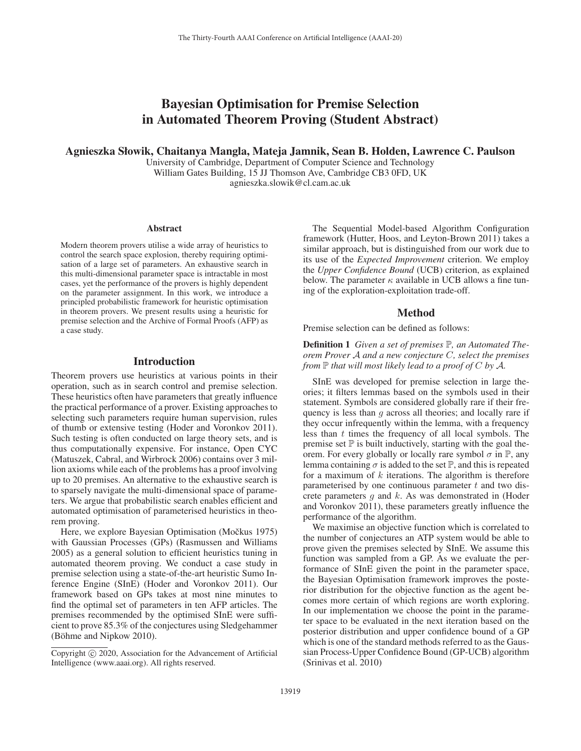# Bayesian Optimisation for Premise Selection in Automated Theorem Proving (Student Abstract)

Agnieszka Słowik, Chaitanya Mangla, Mateja Jamnik, Sean B. Holden, Lawrence C. Paulson

University of Cambridge, Department of Computer Science and Technology William Gates Building, 15 JJ Thomson Ave, Cambridge CB3 0FD, UK agnieszka.slowik@cl.cam.ac.uk

#### Abstract

Modern theorem provers utilise a wide array of heuristics to control the search space explosion, thereby requiring optimisation of a large set of parameters. An exhaustive search in this multi-dimensional parameter space is intractable in most cases, yet the performance of the provers is highly dependent on the parameter assignment. In this work, we introduce a principled probabilistic framework for heuristic optimisation in theorem provers. We present results using a heuristic for premise selection and the Archive of Formal Proofs (AFP) as a case study.

#### Introduction

Theorem provers use heuristics at various points in their operation, such as in search control and premise selection. These heuristics often have parameters that greatly influence the practical performance of a prover. Existing approaches to selecting such parameters require human supervision, rules of thumb or extensive testing (Hoder and Voronkov 2011). Such testing is often conducted on large theory sets, and is thus computationally expensive. For instance, Open CYC (Matuszek, Cabral, and Wirbrock 2006) contains over 3 million axioms while each of the problems has a proof involving up to 20 premises. An alternative to the exhaustive search is to sparsely navigate the multi-dimensional space of parameters. We argue that probabilistic search enables efficient and automated optimisation of parameterised heuristics in theorem proving.

Here, we explore Bayesian Optimisation (Močkus 1975) with Gaussian Processes (GPs) (Rasmussen and Williams 2005) as a general solution to efficient heuristics tuning in automated theorem proving. We conduct a case study in premise selection using a state-of-the-art heuristic Sumo Inference Engine (SInE) (Hoder and Voronkov 2011). Our framework based on GPs takes at most nine minutes to find the optimal set of parameters in ten AFP articles. The premises recommended by the optimised SInE were sufficient to prove 85.3% of the conjectures using Sledgehammer (Böhme and Nipkow 2010).

The Sequential Model-based Algorithm Configuration framework (Hutter, Hoos, and Leyton-Brown 2011) takes a similar approach, but is distinguished from our work due to its use of the *Expected Improvement* criterion. We employ the *Upper Confidence Bound* (UCB) criterion, as explained below. The parameter  $\kappa$  available in UCB allows a fine tuning of the exploration-exploitation trade-off.

### Method

Premise selection can be defined as follows:

Definition 1 *Given a set of premises* P*, an Automated Theorem Prover* <sup>A</sup> *and a new conjecture* C*, select the premises from*  $\mathbb P$  *that will most likely lead to a proof of*  $C$  *by*  $\mathcal A$ *.* 

SInE was developed for premise selection in large theories; it filters lemmas based on the symbols used in their statement. Symbols are considered globally rare if their frequency is less than  $g$  across all theories; and locally rare if they occur infrequently within the lemma, with a frequency less than t times the frequency of all local symbols. The premise set  $\mathbb P$  is built inductively, starting with the goal theorem. For every globally or locally rare symbol  $\sigma$  in  $\mathbb{P}$ , any lemma containing  $\sigma$  is added to the set  $\mathbb{P}$ , and this is repeated for a maximum of  $k$  iterations. The algorithm is therefore parameterised by one continuous parameter  $t$  and two discrete parameters  $g$  and  $k$ . As was demonstrated in (Hoder and Voronkov 2011), these parameters greatly influence the performance of the algorithm.

We maximise an objective function which is correlated to the number of conjectures an ATP system would be able to prove given the premises selected by SInE. We assume this function was sampled from a GP. As we evaluate the performance of SInE given the point in the parameter space, the Bayesian Optimisation framework improves the posterior distribution for the objective function as the agent becomes more certain of which regions are worth exploring. In our implementation we choose the point in the parameter space to be evaluated in the next iteration based on the posterior distribution and upper confidence bound of a GP which is one of the standard methods referred to as the Gaussian Process-Upper Confidence Bound (GP-UCB) algorithm (Srinivas et al. 2010)

Copyright  $\odot$  2020, Association for the Advancement of Artificial Intelligence (www.aaai.org). All rights reserved.